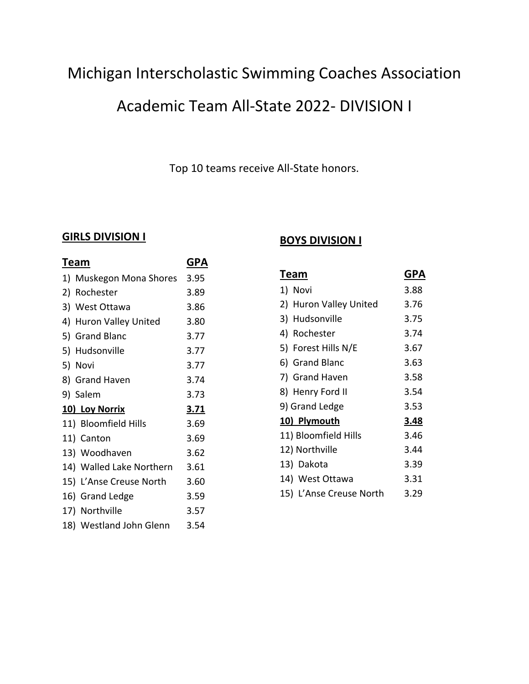## Michigan Interscholastic Swimming Coaches Association

### Academic Team All-State 2022- DIVISION I

Top 10 teams receive All-State honors.

#### **GIRLS DIVISION I**

| <u>Team</u>              | GPA         |
|--------------------------|-------------|
| 1) Muskegon Mona Shores  | 3.95        |
| 2) Rochester             | 3.89        |
| 3) West Ottawa           | 3.86        |
| 4) Huron Valley United   | 3.80        |
| 5) Grand Blanc           | 3.77        |
| 5) Hudsonville           | 3.77        |
| 5) Novi                  | 3.77        |
| 8) Grand Haven           | 3.74        |
| 9) Salem                 | 3.73        |
| 10) Loy Norrix           | <u>3.71</u> |
| 11) Bloomfield Hills     | 3.69        |
| 11) Canton               | 3.69        |
| 13) Woodhaven            | 3.62        |
| 14) Walled Lake Northern | 3.61        |
| 15) L'Anse Creuse North  | 3.60        |
| 16) Grand Ledge          | 3.59        |
| 17) Northville           | 3.57        |
| 18) Westland John Glenn  | 3.54        |
|                          |             |

### **BOYS DIVISION I**

| T <u>eam</u>            | GPA  |
|-------------------------|------|
| 1) Novi                 | 3.88 |
| 2) Huron Valley United  | 3.76 |
| 3) Hudsonville          | 3.75 |
| 4) Rochester            | 3.74 |
| 5) Forest Hills N/E     | 3.67 |
| 6) Grand Blanc          | 3.63 |
| 7) Grand Haven          | 3.58 |
| 8) Henry Ford II        | 3.54 |
| 9) Grand Ledge          | 3.53 |
| 10) Plymouth            | 3.48 |
| 11) Bloomfield Hills    | 3.46 |
| 12) Northville          | 3.44 |
| 13) Dakota              | 3.39 |
| 14) West Ottawa         | 3.31 |
| 15) L'Anse Creuse North | 3.29 |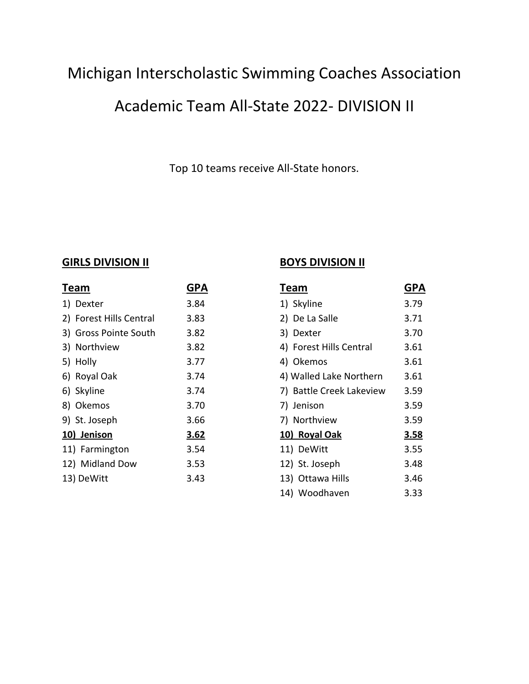# Michigan Interscholastic Swimming Coaches Association

# Academic Team All-State 2022- DIVISION II

Top 10 teams receive All-State honors.

### **GIRLS DIVISION II**

| Team                    | GPA  |
|-------------------------|------|
| 1) Dexter               | 3.84 |
| 2) Forest Hills Central | 3.83 |
| 3) Gross Pointe South   | 3.82 |
| 3) Northview            | 3.82 |
| 5) Holly                | 3.77 |
| 6) Royal Oak            | 3.74 |
| 6) Skyline              | 3.74 |
| 8) Okemos               | 3.70 |
| 9) St. Joseph           | 3.66 |
| 10) Jenison             | 3.62 |
| 11) Farmington          | 3.54 |
| 12) Midland Dow         | 3.53 |
| 13) DeWitt              | 3.43 |
|                         |      |

### **BOYS DIVISION II**

| Team                     | GPA         |
|--------------------------|-------------|
| 1) Skyline               | 3.79        |
| 2) De La Salle           | 3.71        |
| 3) Dexter                | 3.70        |
| 4) Forest Hills Central  | 3.61        |
| 4) Okemos                | 3.61        |
| 4) Walled Lake Northern  | 3.61        |
| 7) Battle Creek Lakeview | 3.59        |
| 7) Jenison               | 3.59        |
| 7) Northview             | 3.59        |
| 10) Royal Oak            | <u>3.58</u> |
| 11) DeWitt               | 3.55        |
| 12) St. Joseph           | 3.48        |
| 13) Ottawa Hills         | 3.46        |
| 14) Woodhaven            | 3.33        |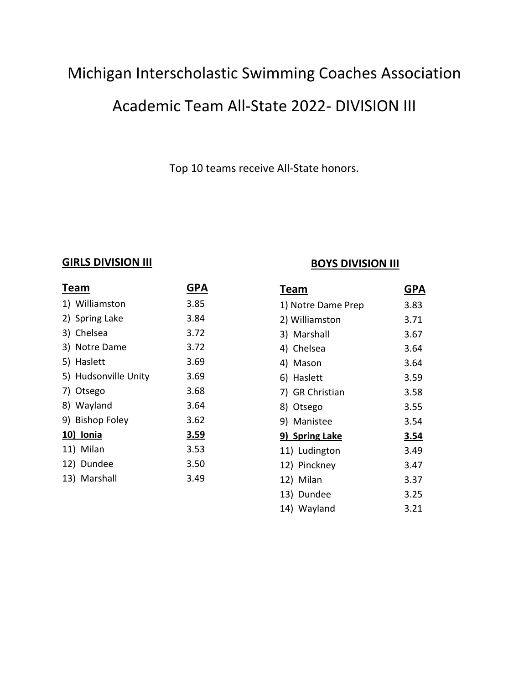# Michigan Interscholastic Swimming Coaches Association

## Academic Team All-State 2022- DIVISION III

Top 10 teams receive All-State honors.

#### **GIRLS DIVISION III**

| Team                 | GPA         |
|----------------------|-------------|
| 1) Williamston       | 3.85        |
| 2) Spring Lake       | 3.84        |
| 3) Chelsea           | 3.72        |
| 3) Notre Dame        | 3.72        |
| 5) Haslett           | 3.69        |
| 5) Hudsonville Unity | 3.69        |
| 7) Otsego            | 3.68        |
| 8) Wayland           | 3.64        |
| 9) Bishop Foley      | 3.62        |
| 10) Ionia            | <u>3.59</u> |
| 11) Milan            | 3.53        |
| 12) Dundee           | 3.50        |
| 13) Marshall         | 3.49        |
|                      |             |

### **BOYS DIVISION III**

| Team               | GPA         |
|--------------------|-------------|
| 1) Notre Dame Prep | 3.83        |
| 2) Williamston     | 3.71        |
| 3) Marshall        | 3.67        |
| 4) Chelsea         | 3.64        |
| 4) Mason           | 3.64        |
| 6) Haslett         | 3.59        |
| 7) GR Christian    | 3.58        |
| 8) Otsego          | 3.55        |
| 9) Manistee        | 3.54        |
| 9) Spring Lake     | <u>3.54</u> |
| 11) Ludington      | 3.49        |
| 12) Pinckney       | 3.47        |
| 12) Milan          | 3.37        |
| 13) Dundee         | 3.25        |
| 14) Wayland        | 3.21        |